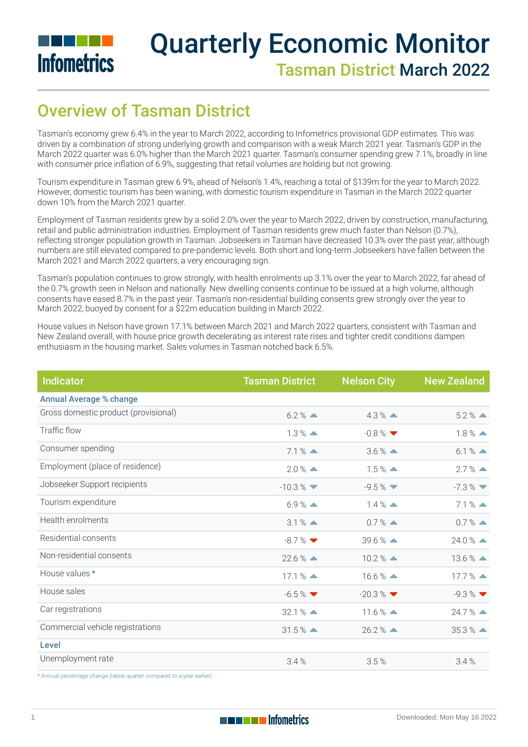

# Quarterly Economic Monitor Tasman District March 2022

## Overview of Tasman District

Tasman's economy grew 6.4% in the year to March 2022, according to Infometrics provisional GDP estimates. This was driven by a combination of strong underlying growth and comparison with a weak March 2021 year. Tasman's GDP in the March 2022 quarter was 6.0% higher than the March 2021 quarter. Tasman's consumer spending grew 7.1%, broadly in line with consumer price inflation of 6.9%, suggesting that retail volumes are holding but not growing.

Tourism expenditure in Tasman grew 6.9%, ahead of Nelson's 1.4%, reaching a total of \$139m for the year to March 2022. However, domestic tourism has been waning, with domestic tourism expenditure in Tasman in the March 2022 quarter down 10% from the March 2021 quarter.

Employment of Tasman residents grew by a solid 2.0% over the year to March 2022, driven by construction, manufacturing, retail and public administration industries. Employment of Tasman residents grew much faster than Nelson (0.7%), reflecting stronger population growth in Tasman. Jobseekers in Tasman have decreased 10.3% over the past year, although numbers are still elevated compared to pre-pandemic levels. Both short and long-term Jobseekers have fallen between the March 2021 and March 2022 quarters, a very encouraging sign.

Tasman's population continues to grow strongly, with health enrolments up 3.1% over the year to March 2022, far ahead of the 0.7% growth seen in Nelson and nationally. New dwelling consents continue to be issued at a high volume, although consents have eased 8.7% in the past year. Tasman's non-residential building consents grew strongly over the year to March 2022, buoyed by consent for a \$22m education building in March 2022.

House values in Nelson have grown 17.1% between March 2021 and March 2022 quarters, consistent with Tasman and New Zealand overall, with house price growth decelerating as interest rate rises and tighter credit conditions dampen enthusiasm in the housing market. Sales volumes in Tasman notched back 6.5%.

| <b>Indicator</b>                     | <b>Tasman District</b>        | <b>Nelson City</b>   | <b>New Zealand</b>            |
|--------------------------------------|-------------------------------|----------------------|-------------------------------|
| <b>Annual Average % change</b>       |                               |                      |                               |
| Gross domestic product (provisional) | $6.2\%$ $\triangle$           | $4.3\%$ $\triangle$  | $5.2\%$ $\triangle$           |
| Traffic flow                         | $1.3\%$ $\triangle$           | $-0.8\%$             | $1.8\%$ $\triangle$           |
| Consumer spending                    | $7.1%$ $\triangle$            | $3.6\%$ $\triangle$  | $6.1%$ $\triangle$            |
| Employment (place of residence)      | $2.0\%$ $\triangle$           | $1.5\%$ $\triangle$  | $2.7\%$ $\triangle$           |
| Jobseeker Support recipients         | $-10.3\%$                     | $-9.5\%$             | $-7.3\%$ $\blacktriangledown$ |
| Tourism expenditure                  | $6.9\%$ $\triangle$           | $1.4\%$ $\triangle$  | $7.1%$ $\triangle$            |
| Health enrolments                    | $3.1%$ $\triangle$            | $0.7%$ $\triangle$   | $0.7%$ $\triangle$            |
| Residential consents                 | $-8.7\%$                      | $39.6\%$ $\triangle$ | $24.0\%$ $\triangle$          |
| Non-residential consents             | $22.6\%$ $\triangle$          | $10.2\%$ $\triangle$ | $13.6\%$ $\triangle$          |
| House values *                       | $17.1%$ $\triangle$           | $16.6\%$ $\triangle$ | $17.7\%$ $\triangle$          |
| House sales                          | $-6.5\%$ $\blacktriangledown$ | $-20.3\%$            | $-9.3\%$                      |
| Car registrations                    | $32.1%$ $\triangle$           | $11.6\%$ $\triangle$ | $24.7%$ $\triangle$           |
| Commercial vehicle registrations     | $31.5%$ $\triangle$           | $26.2\%$ $\triangle$ | $35.3%$ $\triangle$           |
| Level                                |                               |                      |                               |
| Unemployment rate                    | 3.4%                          | 3.5%                 | 3.4%                          |

\* Annual percentage change (latest quarter compared to a year earlier)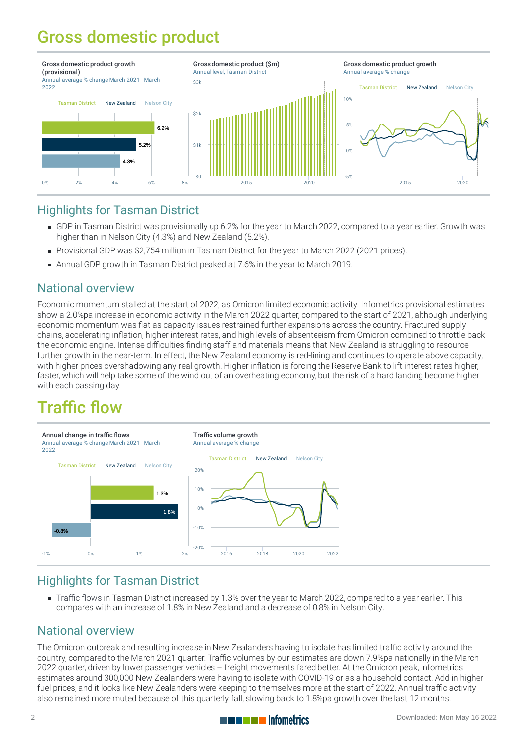## Gross domestic product



#### Highlights for Tasman District

- [GDP](https://staging-qem.infometrics.co.nz/tasman-district/notes#gross-domestic-product) in Tasman District was provisionally up 6.2% for the year to March 2022, compared to a year earlier. Growth was higher than in Nelson City (4.3%) and New Zealand (5.2%).
- Provisional GDP was \$2,754 million in Tasman District for the year to March 2022 (2021 prices).
- Annual GDP growth in Tasman District peaked at 7.6% in the year to March 2019.

#### National overview

Economic momentum stalled at the start of 2022, as Omicron limited economic activity. Infometrics provisional estimates show a 2.0%pa increase in economic activity in the March 2022 quarter, compared to the start of 2021, although underlying economic momentum was flat as capacity issues restrained further expansions across the country. Fractured supply chains, accelerating inflation, higher interest rates, and high levels of absenteeism from Omicron combined to throttle back the economic engine. Intense difficulties finding staff and materials means that New Zealand is struggling to resource further growth in the near-term. In effect, the New Zealand economy is red-lining and continues to operate above capacity, with higher prices overshadowing any real growth. Higher inflation is forcing the Reserve Bank to lift interest rates higher, faster, which will help take some of the wind out of an overheating economy, but the risk of a hard landing become higher with each passing day.

## Traffic flow



#### Highlights for Tasman District

[Traffic](https://staging-qem.infometrics.co.nz/tasman-district/notes#traffic-flow) flows in Tasman District increased by 1.3% over the year to March 2022, compared to a year earlier. This compares with an increase of 1.8% in New Zealand and a decrease of 0.8% in Nelson City.

#### National overview

The Omicron outbreak and resulting increase in New Zealanders having to isolate has limited traffic activity around the country, compared to the March 2021 quarter. Traffic volumes by our estimates are down 7.9%pa nationally in the March 2022 quarter, driven by lower passenger vehicles – freight movements fared better. At the Omicron peak, Infometrics estimates around 300,000 New Zealanders were having to isolate with COVID-19 or as a household contact. Add in higher fuel prices, and it looks like New Zealanders were keeping to themselves more at the start of 2022. Annual traffic activity also remained more muted because of this quarterly fall, slowing back to 1.8%pa growth over the last 12 months.

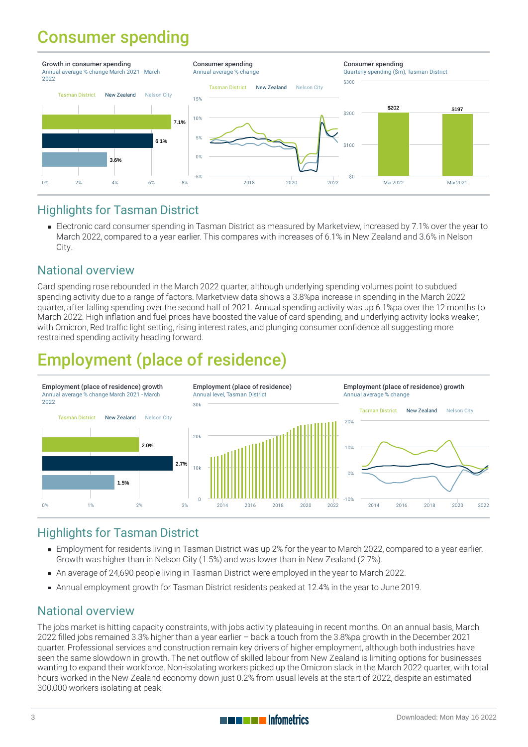### Consumer spending



#### Highlights for Tasman District

Electronic card [consumer](https://staging-qem.infometrics.co.nz/tasman-district/notes#consumer-spending) spending in Tasman District as measured by Marketview, increased by 7.1% over the year to March 2022, compared to a year earlier. This compares with increases of 6.1% in New Zealand and 3.6% in Nelson City.

#### National overview

Card spending rose rebounded in the March 2022 quarter, although underlying spending volumes point to subdued spending activity due to a range of factors. Marketview data shows a 3.8%pa increase in spending in the March 2022 quarter, after falling spending over the second half of 2021. Annual spending activity was up 6.1%pa over the 12 months to March 2022. High inflation and fuel prices have boosted the value of card spending, and underlying activity looks weaker, with Omicron, Red traffic light setting, rising interest rates, and plunging consumer confidence all suggesting more restrained spending activity heading forward.

# Employment (place of residence)



#### Highlights for Tasman District

- [Employment](https://staging-qem.infometrics.co.nz/tasman-district/notes#employment) for residents living in Tasman District was up 2% for the year to March 2022, compared to a year earlier. Growth was higher than in Nelson City (1.5%) and was lower than in New Zealand (2.7%).
- An average of 24,690 people living in Tasman District were employed in the year to March 2022.
- Annual employment growth for Tasman District residents peaked at 12.4% in the year to June 2019.

#### National overview

The jobs market is hitting capacity constraints, with jobs activity plateauing in recent months. On an annual basis, March 2022 filled jobs remained 3.3% higher than a year earlier – back a touch from the 3.8%pa growth in the December 2021 quarter. Professional services and construction remain key drivers of higher employment, although both industries have seen the same slowdown in growth. The net outflow of skilled labour from New Zealand is limiting options for businesses wanting to expand their workforce. Non-isolating workers picked up the Omicron slack in the March 2022 quarter, with total hours worked in the New Zealand economy down just 0.2% from usual levels at the start of 2022, despite an estimated 300,000 workers isolating at peak.

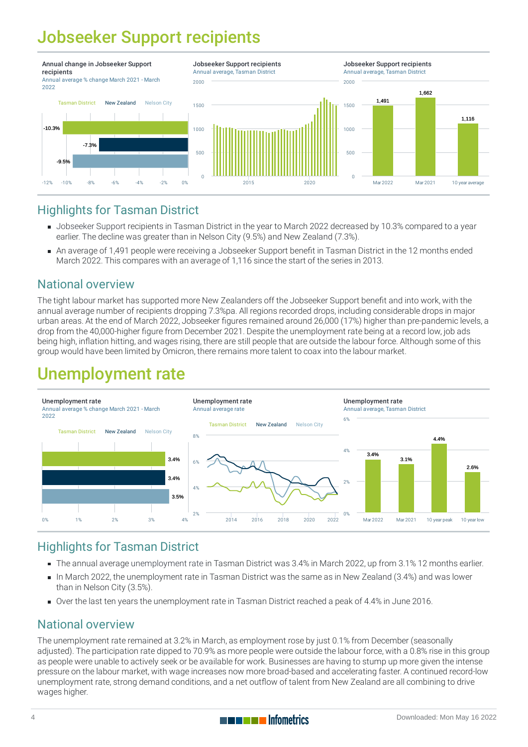## Jobseeker Support recipients



#### Highlights for Tasman District

- [Jobseeker](https://staging-qem.infometrics.co.nz/tasman-district/notes#jobseeker-support-recipients) Support recipients in Tasman District in the year to March 2022 decreased by 10.3% compared to a year earlier. The decline was greater than in Nelson City (9.5%) and New Zealand (7.3%).
- An average of 1,491 people were receiving a Jobseeker Support benefit in Tasman District in the 12 months ended March 2022. This compares with an average of 1,116 since the start of the series in 2013.

#### National overview

The tight labour market has supported more New Zealanders off the Jobseeker Support benefit and into work, with the annual average number of recipients dropping 7.3%pa. All regions recorded drops, including considerable drops in major urban areas. At the end of March 2022, Jobseeker figures remained around 26,000 (17%) higher than pre-pandemic levels, a drop from the 40,000-higher figure from December 2021. Despite the unemployment rate being at a record low, job ads being high, inflation hitting, and wages rising, there are still people that are outside the labour force. Although some of this group would have been limited by Omicron, there remains more talent to coax into the labour market.

### Unemployment rate



#### Highlights for Tasman District

- The annual average [unemployment](https://staging-qem.infometrics.co.nz/tasman-district/notes#unemployment-rate) rate in Tasman District was 3.4% in March 2022, up from 3.1% 12 months earlier.
- In March 2022, the unemployment rate in Tasman District was the same as in New Zealand (3.4%) and was lower than in Nelson City (3.5%).
- Over the last ten years the unemployment rate in Tasman District reached a peak of 4.4% in June 2016.

#### National overview

The unemployment rate remained at 3.2% in March, as employment rose by just 0.1% from December (seasonally adjusted). The participation rate dipped to 70.9% as more people were outside the labour force, with a 0.8% rise in this group as people were unable to actively seek or be available for work. Businesses are having to stump up more given the intense pressure on the labour market, with wage increases now more broad-based and accelerating faster. A continued record-low unemployment rate, strong demand conditions, and a net outflow of talent from New Zealand are all combining to drive wages higher.

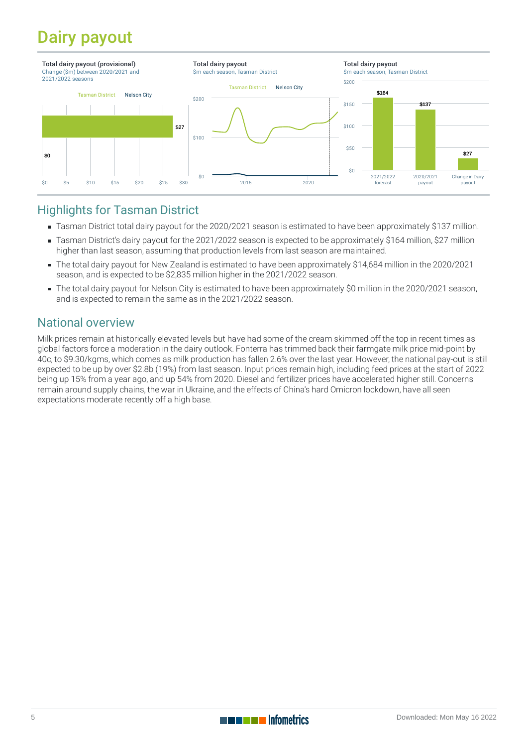## Dairy payout



#### Highlights for Tasman District

- Tasman District total dairy payout for the 2020/2021 season is estimated to have been approximately \$137 million.
- Tasman District's dairy payout for the 2021/2022 season is expected to be approximately \$164 million, \$27 million higher than last season, assuming that production levels from last season are maintained.
- The total dairy payout for New Zealand is estimated to have been approximately \$14,684 million in the 2020/2021 season, and is expected to be \$2,835 million higher in the 2021/2022 season.
- The total dairy payout for Nelson City is estimated to have been approximately \$0 million in the 2020/2021 season, and is expected to remain the same as in the 2021/2022 season.

#### National overview

Milk prices remain at historically elevated levels but have had some of the cream skimmed off the top in recent times as global factors force a moderation in the dairy outlook. Fonterra has trimmed back their farmgate milk price mid-point by 40c, to \$9.30/kgms, which comes as milk production has fallen 2.6% over the last year. However, the national pay-out is still expected to be up by over \$2.8b (19%) from last season. Input prices remain high, including feed prices at the start of 2022 being up 15% from a year ago, and up 54% from 2020. Diesel and fertilizer prices have accelerated higher still. Concerns remain around supply chains, the war in Ukraine, and the effects of China's hard Omicron lockdown, have all seen expectations moderate recently off a high base.



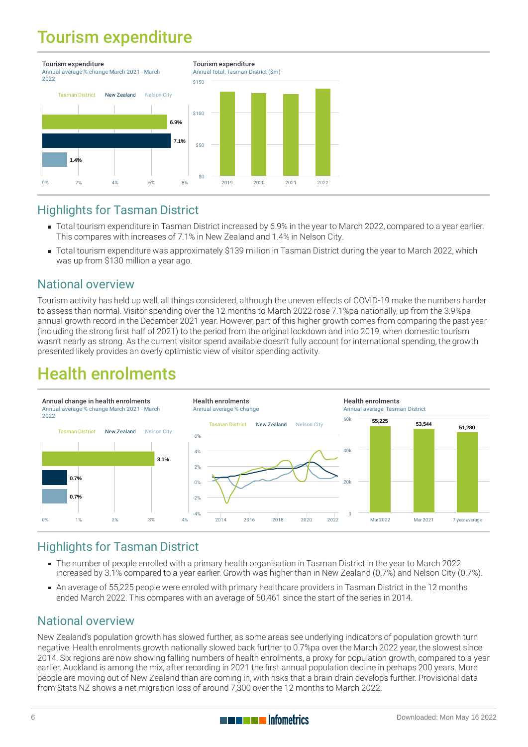### Tourism expenditure



#### Highlights for Tasman District

- Total tourism expenditure in Tasman District increased by 6.9% in the year to March 2022, compared to a year earlier. This compares with increases of 7.1% in New Zealand and 1.4% in Nelson City.
- Total tourism expenditure was approximately \$139 million in Tasman District during the year to March 2022, which was up from \$130 million a year ago.

#### National overview

Tourism activity has held up well, all things considered, although the uneven effects of COVID-19 make the numbers harder to assess than normal. Visitor spending over the 12 months to March 2022 rose 7.1%pa nationally, up from the 3.9%pa annual growth record in the December 2021 year. However, part of this higher growth comes from comparing the past year (including the strong first half of 2021) to the period from the original lockdown and into 2019, when domestic tourism wasn't nearly as strong. As the current visitor spend available doesn't fully account for international spending, the growth presented likely provides an overly optimistic view of visitor spending activity.

### Health enrolments



#### Highlights for Tasman District

- The number of people [enrolled](https://staging-qem.infometrics.co.nz/tasman-district/notes#health-enrolments) with a primary health organisation in Tasman District in the year to March 2022 increased by 3.1% compared to a year earlier. Growth was higher than in New Zealand (0.7%) and Nelson City (0.7%).
- An average of 55,225 people were enroled with primary healthcare providers in Tasman District in the 12 months ended March 2022. This compares with an average of 50,461 since the start of the series in 2014.

#### National overview

New Zealand's population growth has slowed further, as some areas see underlying indicators of population growth turn negative. Health enrolments growth nationally slowed back further to 0.7%pa over the March 2022 year, the slowest since 2014. Six regions are now showing falling numbers of health enrolments, a proxy for population growth, compared to a year earlier. Auckland is among the mix, after recording in 2021 the first annual population decline in perhaps 200 years. More people are moving out of New Zealand than are coming in, with risks that a brain drain develops further. Provisional data from Stats NZ shows a net migration loss of around 7,300 over the 12 months to March 2022.

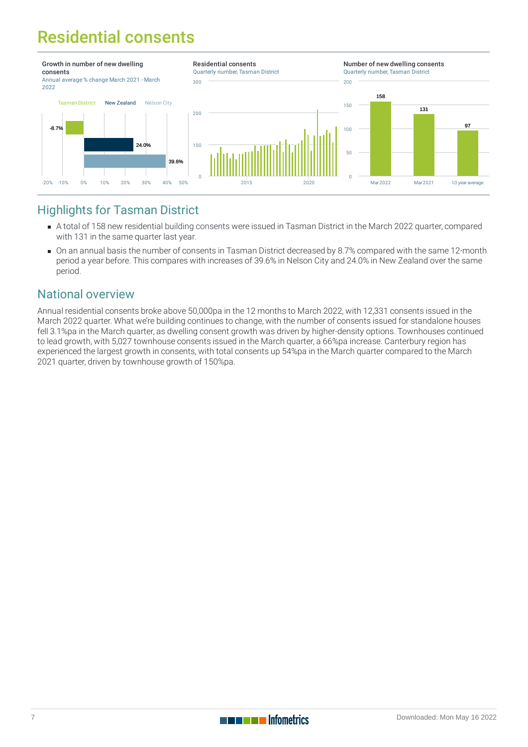## Residential consents



#### Highlights for Tasman District

- A total of 158 new residential building [consents](https://staging-qem.infometrics.co.nz/tasman-district/notes#building-consents) were issued in Tasman District in the March 2022 quarter, compared with 131 in the same quarter last year.
- On an annual basis the number of consents in Tasman District decreased by 8.7% compared with the same 12-month period a year before. This compares with increases of 39.6% in Nelson City and 24.0% in New Zealand over the same period.

#### National overview

Annual residential consents broke above 50,000pa in the 12 months to March 2022, with 12,331 consents issued in the March 2022 quarter. What we're building continues to change, with the number of consents issued for standalone houses fell 3.1%pa in the March quarter, as dwelling consent growth was driven by higher-density options. Townhouses continued to lead growth, with 5,027 townhouse consents issued in the March quarter, a 66%pa increase. Canterbury region has experienced the largest growth in consents, with total consents up 54%pa in the March quarter compared to the March 2021 quarter, driven by townhouse growth of 150%pa.

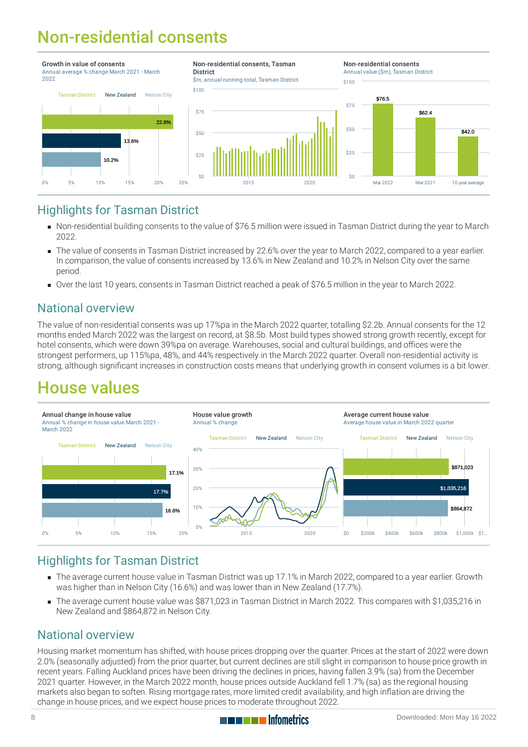## Non-residential consents



#### Highlights for Tasman District

- Non-residential building [consents](https://staging-qem.infometrics.co.nz/tasman-district/notes#building-consents) to the value of \$76.5 million were issued in Tasman District during the year to March 2022.
- The value of consents in Tasman District increased by 22.6% over the year to March 2022, compared to a year earlier. In comparison, the value of consents increased by 13.6% in New Zealand and 10.2% in Nelson City over the same period.
- Over the last 10 years, consents in Tasman District reached a peak of \$76.5 million in the year to March 2022.

#### National overview

The value of non-residential consents was up 17%pa in the March 2022 quarter, totalling \$2.2b. Annual consents for the 12 months ended March 2022 was the largest on record, at \$8.5b. Most build types showed strong growth recently, except for hotel consents, which were down 39%pa on average. Warehouses, social and cultural buildings, and offices were the strongest performers, up 115%pa, 48%, and 44% respectively in the March 2022 quarter. Overall non-residential activity is strong, although significant increases in construction costs means that underlying growth in consent volumes is a bit lower.

### House values



#### Highlights for Tasman District

- The average current [house](https://staging-qem.infometrics.co.nz/tasman-district/notes#house-values) value in Tasman District was up 17.1% in March 2022, compared to a year earlier. Growth was higher than in Nelson City (16.6%) and was lower than in New Zealand (17.7%).
- The average current house value was \$871,023 in Tasman District in March 2022. This compares with \$1,035,216 in New Zealand and \$864,872 in Nelson City.

#### National overview

Housing market momentum has shifted, with house prices dropping over the quarter. Prices at the start of 2022 were down 2.0% (seasonally adjusted) from the prior quarter, but current declines are still slight in comparison to house price growth in recent years. Falling Auckland prices have been driving the declines in prices, having fallen 3.9% (sa) from the December 2021 quarter. However, in the March 2022 month, house prices outside Auckland fell 1.7% (sa) as the regional housing markets also began to soften. Rising mortgage rates, more limited credit availability, and high inflation are driving the change in house prices, and we expect house prices to moderate throughout 2022.

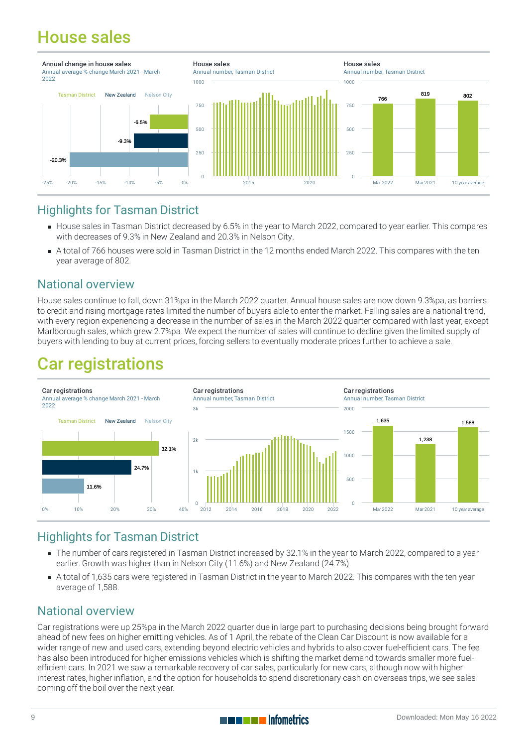### House sales



#### Highlights for Tasman District

- [House](https://staging-qem.infometrics.co.nz/tasman-district/notes#house-sales) sales in Tasman District decreased by 6.5% in the year to March 2022, compared to year earlier. This compares with decreases of 9.3% in New Zealand and 20.3% in Nelson City.
- A total of 766 houses were sold in Tasman District in the 12 months ended March 2022. This compares with the ten year average of 802.

#### National overview

House sales continue to fall, down 31%pa in the March 2022 quarter. Annual house sales are now down 9.3%pa, as barriers to credit and rising mortgage rates limited the number of buyers able to enter the market. Falling sales are a national trend, with every region experiencing a decrease in the number of sales in the March 2022 quarter compared with last year, except Marlborough sales, which grew 2.7%pa. We expect the number of sales will continue to decline given the limited supply of buyers with lending to buy at current prices, forcing sellers to eventually moderate prices further to achieve a sale.

### Car registrations



#### Highlights for Tasman District

- The number of cars registered in Tasman District increased by 32.1% in the year to March 2022, compared to a year earlier. Growth was higher than in Nelson City (11.6%) and New Zealand (24.7%).
- A total of 1,635 cars were registered in Tasman District in the year to March 2022. This compares with the ten year average of 1,588.

#### National overview

Car registrations were up 25%pa in the March 2022 quarter due in large part to purchasing decisions being brought forward ahead of new fees on higher emitting vehicles. As of 1 April, the rebate of the Clean Car Discount is now available for a wider range of new and used cars, extending beyond electric vehicles and hybrids to also cover fuel-efficient cars. The fee has also been introduced for higher emissions vehicles which is shifting the market demand towards smaller more fuelefficient cars. In 2021 we saw a remarkable recovery of car sales, particularly for new cars, although now with higher interest rates, higher inflation, and the option for households to spend discretionary cash on overseas trips, we see sales coming off the boil over the next year.

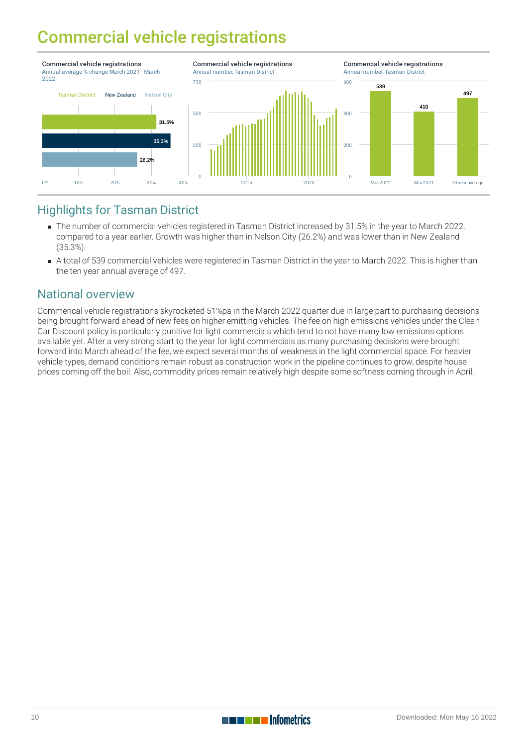### Commercial vehicle registrations



#### Highlights for Tasman District

- The number of commercial vehicles registered in Tasman District increased by 31.5% in the year to March 2022, compared to a year earlier. Growth was higher than in Nelson City (26.2%) and was lower than in New Zealand (35.3%).
- A total of 539 commercial vehicles were registered in Tasman District in the year to March 2022. This is higher than the ten year annual average of 497.

#### National overview

Commerical vehicle registrations skyrocketed 51%pa in the March 2022 quarter due in large part to purchasing decisions being brought forward ahead of new fees on higher emitting vehicles. The fee on high emissions vehicles under the Clean Car Discount policy is particularly punitive for light commercials which tend to not have many low emissions options available yet. After a very strong start to the year for light commercials as many purchasing decisions were brought forward into March ahead of the fee, we expect several months of weakness in the light commercial space. For heavier vehicle types, demand conditions remain robust as construction work in the pipeline continues to grow, despite house prices coming off the boil. Also, commodity prices remain relatively high despite some softness coming through in April.

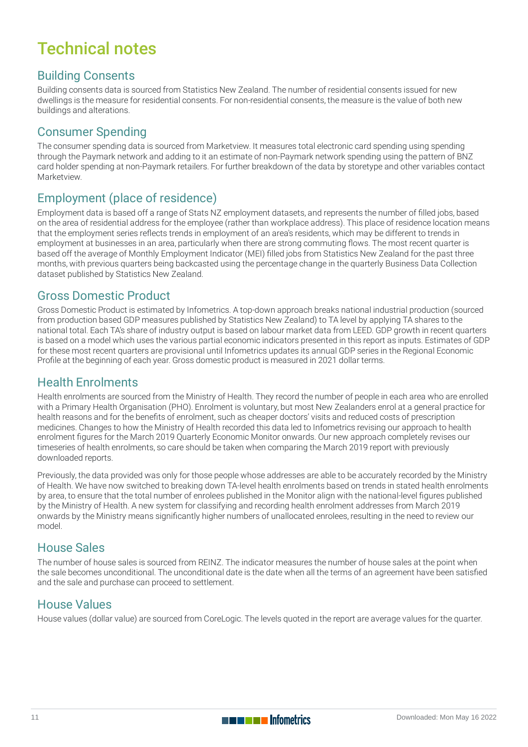### Technical notes

#### Building Consents

Building consents data is sourced from Statistics New Zealand. The number of residential consents issued for new dwellings is the measure for residential consents. For non-residential consents, the measure is the value of both new buildings and alterations.

#### Consumer Spending

The consumer spending data is sourced from Marketview. It measures total electronic card spending using spending through the Paymark network and adding to it an estimate of non-Paymark network spending using the pattern of BNZ card holder spending at non-Paymark retailers. For further breakdown of the data by storetype and other variables contact Marketview.

#### Employment (place of residence)

Employment data is based off a range of Stats NZ employment datasets, and represents the number of filled jobs, based on the area of residential address for the employee (rather than workplace address). This place of residence location means that the employment series reflects trends in employment of an area's residents, which may be different to trends in employment at businesses in an area, particularly when there are strong commuting flows. The most recent quarter is based off the average of Monthly Employment Indicator (MEI) filled jobs from Statistics New Zealand for the past three months, with previous quarters being backcasted using the percentage change in the quarterly Business Data Collection dataset published by Statistics New Zealand.

#### Gross Domestic Product

Gross Domestic Product is estimated by Infometrics. A top-down approach breaks national industrial production (sourced from production based GDP measures published by Statistics New Zealand) to TA level by applying TA shares to the national total. Each TA's share of industry output is based on labour market data from LEED. GDP growth in recent quarters is based on a model which uses the various partial economic indicators presented in this report as inputs. Estimates of GDP for these most recent quarters are provisional until Infometrics updates its annual GDP series in the Regional Economic Profile at the beginning of each year. Gross domestic product is measured in 2021 dollar terms.

#### Health Enrolments

Health enrolments are sourced from the Ministry of Health. They record the number of people in each area who are enrolled with a Primary Health Organisation (PHO). Enrolment is voluntary, but most New Zealanders enrol at a general practice for health reasons and for the benefits of enrolment, such as cheaper doctors' visits and reduced costs of prescription medicines. Changes to how the Ministry of Health recorded this data led to Infometrics revising our approach to health enrolment figures for the March 2019 Quarterly Economic Monitor onwards. Our new approach completely revises our timeseries of health enrolments, so care should be taken when comparing the March 2019 report with previously downloaded reports.

Previously, the data provided was only for those people whose addresses are able to be accurately recorded by the Ministry of Health. We have now switched to breaking down TA-level health enrolments based on trends in stated health enrolments by area, to ensure that the total number of enrolees published in the Monitor align with the national-level figures published by the Ministry of Health. A new system for classifying and recording health enrolment addresses from March 2019 onwards by the Ministry means significantly higher numbers of unallocated enrolees, resulting in the need to review our model.

#### House Sales

The number of house sales is sourced from REINZ. The indicator measures the number of house sales at the point when the sale becomes unconditional. The unconditional date is the date when all the terms of an agreement have been satisfied and the sale and purchase can proceed to settlement.

#### House Values

House values (dollar value) are sourced from CoreLogic. The levels quoted in the report are average values for the quarter.